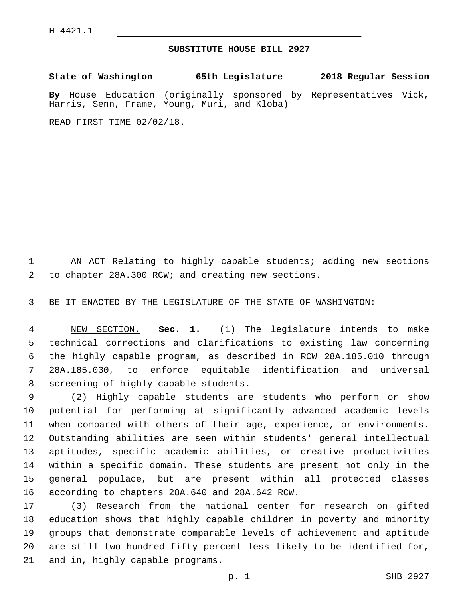## **SUBSTITUTE HOUSE BILL 2927**

**State of Washington 65th Legislature 2018 Regular Session By** House Education (originally sponsored by Representatives Vick,

READ FIRST TIME 02/02/18.

Harris, Senn, Frame, Young, Muri, and Kloba)

 AN ACT Relating to highly capable students; adding new sections to chapter 28A.300 RCW; and creating new sections.2

BE IT ENACTED BY THE LEGISLATURE OF THE STATE OF WASHINGTON:

 NEW SECTION. **Sec. 1.** (1) The legislature intends to make technical corrections and clarifications to existing law concerning the highly capable program, as described in RCW 28A.185.010 through 28A.185.030, to enforce equitable identification and universal screening of highly capable students.

 (2) Highly capable students are students who perform or show potential for performing at significantly advanced academic levels when compared with others of their age, experience, or environments. Outstanding abilities are seen within students' general intellectual aptitudes, specific academic abilities, or creative productivities within a specific domain. These students are present not only in the general populace, but are present within all protected classes 16 according to chapters 28A.640 and 28A.642 RCW.

 (3) Research from the national center for research on gifted education shows that highly capable children in poverty and minority groups that demonstrate comparable levels of achievement and aptitude are still two hundred fifty percent less likely to be identified for, 21 and in, highly capable programs.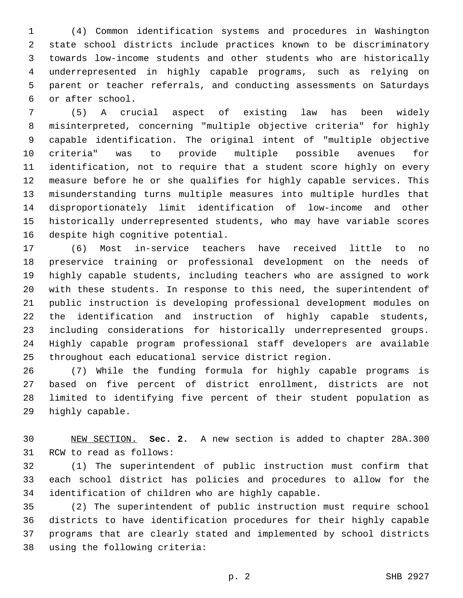(4) Common identification systems and procedures in Washington state school districts include practices known to be discriminatory towards low-income students and other students who are historically underrepresented in highly capable programs, such as relying on parent or teacher referrals, and conducting assessments on Saturdays or after school.6

 (5) A crucial aspect of existing law has been widely misinterpreted, concerning "multiple objective criteria" for highly capable identification. The original intent of "multiple objective criteria" was to provide multiple possible avenues for identification, not to require that a student score highly on every measure before he or she qualifies for highly capable services. This misunderstanding turns multiple measures into multiple hurdles that disproportionately limit identification of low-income and other historically underrepresented students, who may have variable scores 16 despite high cognitive potential.

 (6) Most in-service teachers have received little to no preservice training or professional development on the needs of highly capable students, including teachers who are assigned to work with these students. In response to this need, the superintendent of public instruction is developing professional development modules on the identification and instruction of highly capable students, including considerations for historically underrepresented groups. Highly capable program professional staff developers are available throughout each educational service district region.

 (7) While the funding formula for highly capable programs is based on five percent of district enrollment, districts are not limited to identifying five percent of their student population as 29 highly capable.

 NEW SECTION. **Sec. 2.** A new section is added to chapter 28A.300 31 RCW to read as follows:

 (1) The superintendent of public instruction must confirm that each school district has policies and procedures to allow for the identification of children who are highly capable.

 (2) The superintendent of public instruction must require school districts to have identification procedures for their highly capable programs that are clearly stated and implemented by school districts 38 using the following criteria: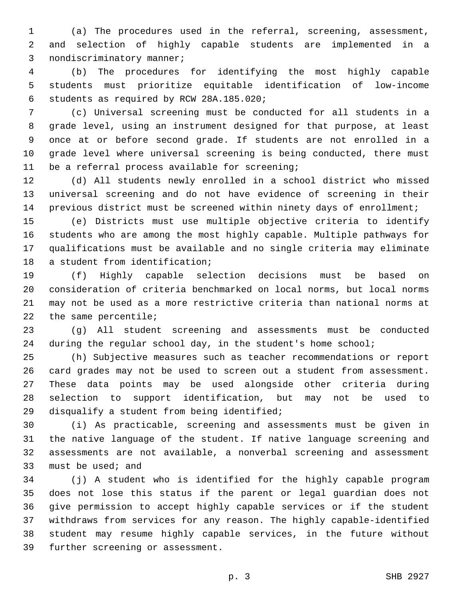(a) The procedures used in the referral, screening, assessment, and selection of highly capable students are implemented in a 3 nondiscriminatory manner;

 (b) The procedures for identifying the most highly capable students must prioritize equitable identification of low-income 6 students as required by RCW 28A.185.020;

 (c) Universal screening must be conducted for all students in a grade level, using an instrument designed for that purpose, at least once at or before second grade. If students are not enrolled in a grade level where universal screening is being conducted, there must 11 be a referral process available for screening;

 (d) All students newly enrolled in a school district who missed universal screening and do not have evidence of screening in their previous district must be screened within ninety days of enrollment;

 (e) Districts must use multiple objective criteria to identify students who are among the most highly capable. Multiple pathways for qualifications must be available and no single criteria may eliminate 18 a student from identification;

 (f) Highly capable selection decisions must be based on consideration of criteria benchmarked on local norms, but local norms may not be used as a more restrictive criteria than national norms at 22 the same percentile;

 (g) All student screening and assessments must be conducted during the regular school day, in the student's home school;

 (h) Subjective measures such as teacher recommendations or report card grades may not be used to screen out a student from assessment. These data points may be used alongside other criteria during selection to support identification, but may not be used to 29 disqualify a student from being identified;

 (i) As practicable, screening and assessments must be given in the native language of the student. If native language screening and assessments are not available, a nonverbal screening and assessment 33 must be used; and

 (j) A student who is identified for the highly capable program does not lose this status if the parent or legal guardian does not give permission to accept highly capable services or if the student withdraws from services for any reason. The highly capable-identified student may resume highly capable services, in the future without 39 further screening or assessment.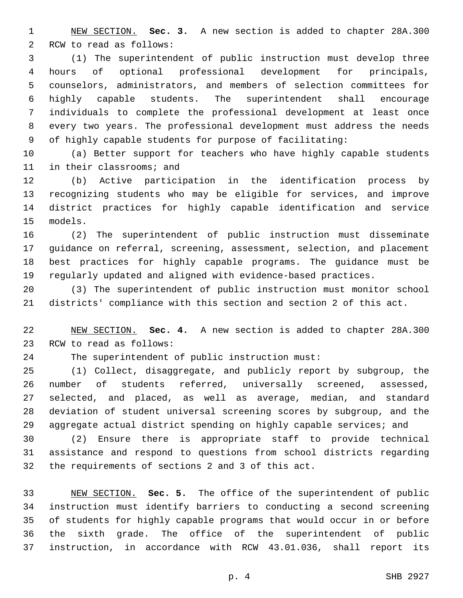NEW SECTION. **Sec. 3.** A new section is added to chapter 28A.300 2 RCW to read as follows:

 (1) The superintendent of public instruction must develop three hours of optional professional development for principals, counselors, administrators, and members of selection committees for highly capable students. The superintendent shall encourage individuals to complete the professional development at least once every two years. The professional development must address the needs of highly capable students for purpose of facilitating:

 (a) Better support for teachers who have highly capable students 11 in their classrooms; and

 (b) Active participation in the identification process by recognizing students who may be eligible for services, and improve district practices for highly capable identification and service 15 models.

 (2) The superintendent of public instruction must disseminate guidance on referral, screening, assessment, selection, and placement best practices for highly capable programs. The guidance must be regularly updated and aligned with evidence-based practices.

 (3) The superintendent of public instruction must monitor school districts' compliance with this section and section 2 of this act.

 NEW SECTION. **Sec. 4.** A new section is added to chapter 28A.300 23 RCW to read as follows:

The superintendent of public instruction must:

 (1) Collect, disaggregate, and publicly report by subgroup, the number of students referred, universally screened, assessed, selected, and placed, as well as average, median, and standard deviation of student universal screening scores by subgroup, and the 29 aggregate actual district spending on highly capable services; and

 (2) Ensure there is appropriate staff to provide technical assistance and respond to questions from school districts regarding 32 the requirements of sections 2 and 3 of this act.

 NEW SECTION. **Sec. 5.** The office of the superintendent of public instruction must identify barriers to conducting a second screening of students for highly capable programs that would occur in or before the sixth grade. The office of the superintendent of public instruction, in accordance with RCW 43.01.036, shall report its